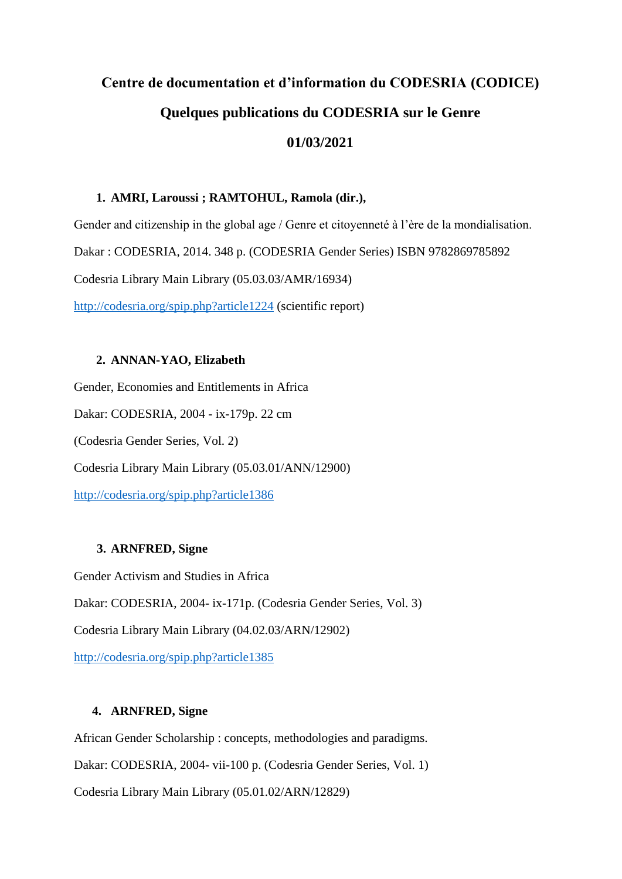# **Centre de documentation et d'information du CODESRIA (CODICE) Quelques publications du CODESRIA sur le Genre 01/03/2021**

#### **1. AMRI, Laroussi ; RAMTOHUL, Ramola (dir.),**

Gender and citizenship in the global age / Genre et citoyenneté à l'ère de la mondialisation. Dakar : CODESRIA, 2014. 348 p. (CODESRIA Gender Series) ISBN 9782869785892 Codesria Library Main Library (05.03.03/AMR/16934) <http://codesria.org/spip.php?article1224> (scientific report)

#### **2. ANNAN-YAO, Elizabeth**

Gender, Economies and Entitlements in Africa Dakar: CODESRIA, 2004 - ix-179p. 22 cm (Codesria Gender Series, Vol. 2) Codesria Library Main Library (05.03.01/ANN/12900) <http://codesria.org/spip.php?article1386>

# **3. ARNFRED, Signe**

Gender Activism and Studies in Africa

Dakar: CODESRIA, 2004- ix-171p. (Codesria Gender Series, Vol. 3)

Codesria Library Main Library (04.02.03/ARN/12902)

<http://codesria.org/spip.php?article1385>

#### **4. ARNFRED, Signe**

African Gender Scholarship : concepts, methodologies and paradigms. Dakar: CODESRIA, 2004- vii-100 p. (Codesria Gender Series, Vol. 1) Codesria Library Main Library (05.01.02/ARN/12829)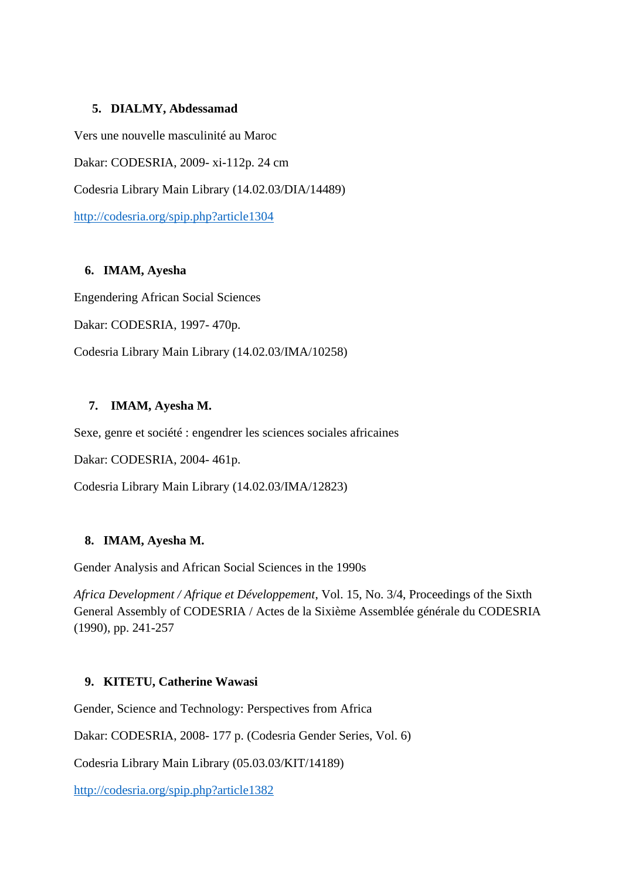# **5. DIALMY, Abdessamad**

Vers une nouvelle masculinité au Maroc

Dakar: CODESRIA, 2009- xi-112p. 24 cm

Codesria Library Main Library (14.02.03/DIA/14489)

<http://codesria.org/spip.php?article1304>

# **6. IMAM, Ayesha**

Engendering African Social Sciences

Dakar: CODESRIA, 1997- 470p.

Codesria Library Main Library (14.02.03/IMA/10258)

# **7. IMAM, Ayesha M.**

Sexe, genre et société : engendrer les sciences sociales africaines

Dakar: CODESRIA, 2004- 461p.

Codesria Library Main Library (14.02.03/IMA/12823)

# **8. IMAM, Ayesha M.**

Gender Analysis and African Social Sciences in the 1990s

*Africa Development / Afrique et Développement*, Vol. 15, No. 3/4, Proceedings of the Sixth General Assembly of CODESRIA / Actes de la Sixième Assemblée générale du CODESRIA (1990), pp. 241-257

# **9. KITETU, Catherine Wawasi**

Gender, Science and Technology: Perspectives from Africa

Dakar: CODESRIA, 2008- 177 p. (Codesria Gender Series, Vol. 6)

Codesria Library Main Library (05.03.03/KIT/14189)

<http://codesria.org/spip.php?article1382>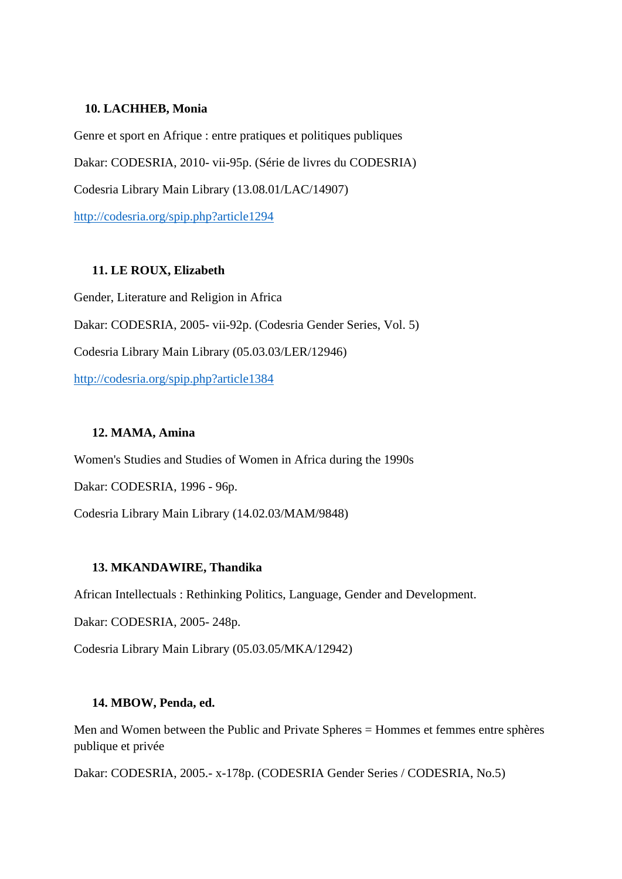#### **10. LACHHEB, Monia**

Genre et sport en Afrique : entre pratiques et politiques publiques Dakar: CODESRIA, 2010- vii-95p. (Série de livres du CODESRIA) Codesria Library Main Library (13.08.01/LAC/14907) <http://codesria.org/spip.php?article1294>

#### **11. LE ROUX, Elizabeth**

Gender, Literature and Religion in Africa Dakar: CODESRIA, 2005- vii-92p. (Codesria Gender Series, Vol. 5) Codesria Library Main Library (05.03.03/LER/12946) <http://codesria.org/spip.php?article1384>

### **12. MAMA, Amina**

Women's Studies and Studies of Women in Africa during the 1990s

Dakar: CODESRIA, 1996 - 96p.

Codesria Library Main Library (14.02.03/MAM/9848)

#### **13. MKANDAWIRE, Thandika**

African Intellectuals : Rethinking Politics, Language, Gender and Development.

Dakar: CODESRIA, 2005- 248p.

Codesria Library Main Library (05.03.05/MKA/12942)

#### **14. MBOW, Penda, ed.**

Men and Women between the Public and Private Spheres = Hommes et femmes entre sphères publique et privée

Dakar: CODESRIA, 2005.- x-178p. (CODESRIA Gender Series / CODESRIA, No.5)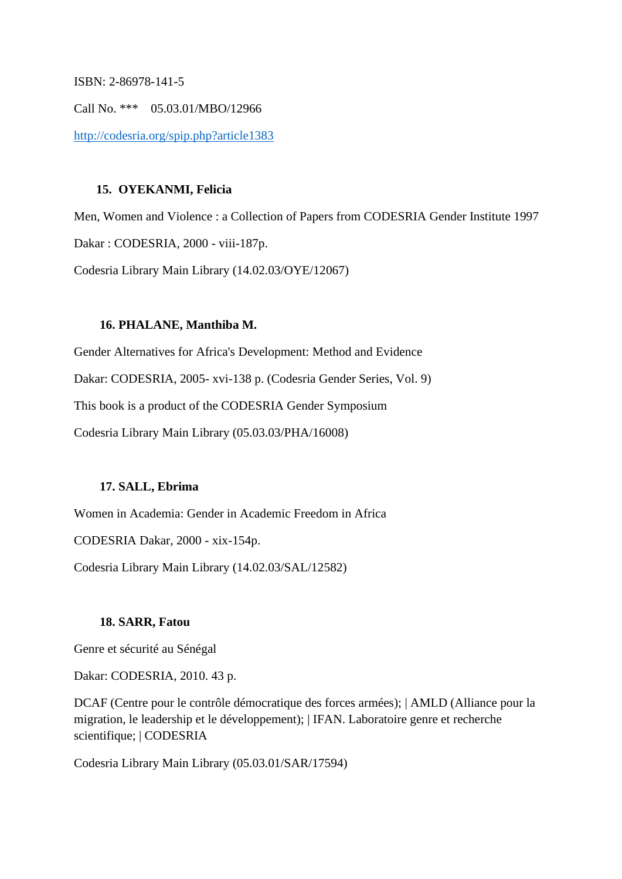ISBN: 2-86978-141-5

Call No. \*\*\* 05.03.01/MBO/12966 <http://codesria.org/spip.php?article1383>

#### **15. OYEKANMI, Felicia**

Men, Women and Violence : a Collection of Papers from CODESRIA Gender Institute 1997 Dakar : CODESRIA, 2000 - viii-187p. Codesria Library Main Library (14.02.03/OYE/12067)

#### **16. PHALANE, Manthiba M.**

Gender Alternatives for Africa's Development: Method and Evidence Dakar: CODESRIA, 2005- xvi-138 p. (Codesria Gender Series, Vol. 9) This book is a product of the CODESRIA Gender Symposium Codesria Library Main Library (05.03.03/PHA/16008)

#### **17. SALL, Ebrima**

Women in Academia: Gender in Academic Freedom in Africa

CODESRIA Dakar, 2000 - xix-154p.

Codesria Library Main Library (14.02.03/SAL/12582)

#### **18. SARR, Fatou**

Genre et sécurité au Sénégal

Dakar: CODESRIA, 2010. 43 p.

DCAF (Centre pour le contrôle démocratique des forces armées); | AMLD (Alliance pour la migration, le leadership et le développement); | IFAN. Laboratoire genre et recherche scientifique; | CODESRIA

Codesria Library Main Library (05.03.01/SAR/17594)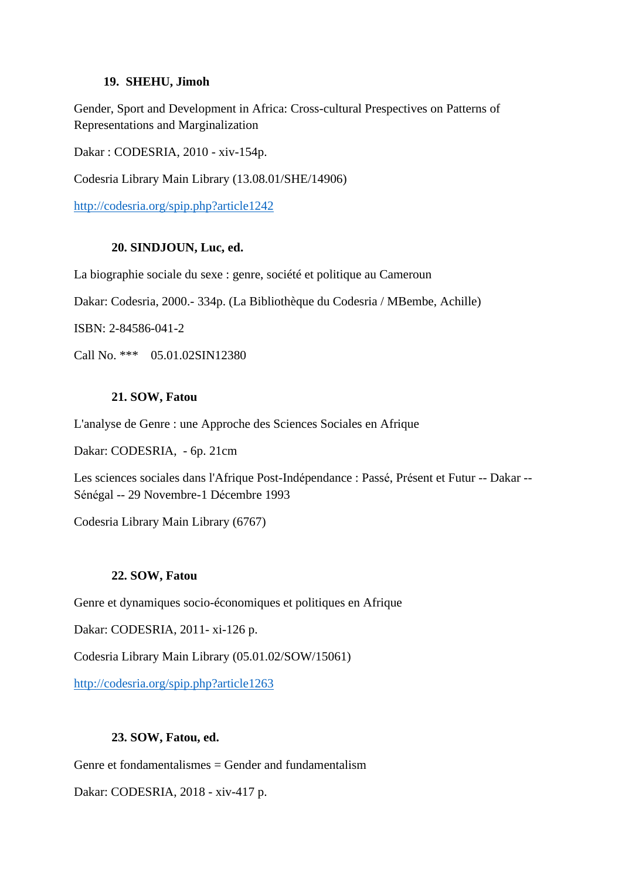#### **19. SHEHU, Jimoh**

Gender, Sport and Development in Africa: Cross-cultural Prespectives on Patterns of Representations and Marginalization

Dakar : CODESRIA, 2010 - xiv-154p.

Codesria Library Main Library (13.08.01/SHE/14906)

<http://codesria.org/spip.php?article1242>

#### **20. SINDJOUN, Luc, ed.**

La biographie sociale du sexe : genre, société et politique au Cameroun

Dakar: Codesria, 2000.- 334p. (La Bibliothèque du Codesria / MBembe, Achille)

ISBN: 2-84586-041-2

Call No. \*\*\* 05.01.02SIN12380

#### **21. SOW, Fatou**

L'analyse de Genre : une Approche des Sciences Sociales en Afrique

Dakar: CODESRIA, - 6p. 21cm

Les sciences sociales dans l'Afrique Post-Indépendance : Passé, Présent et Futur -- Dakar -- Sénégal -- 29 Novembre-1 Décembre 1993

Codesria Library Main Library (6767)

#### **22. SOW, Fatou**

Genre et dynamiques socio-économiques et politiques en Afrique

Dakar: CODESRIA, 2011- xi-126 p.

Codesria Library Main Library (05.01.02/SOW/15061)

<http://codesria.org/spip.php?article1263>

# **23. SOW, Fatou, ed.**

Genre et fondamentalismes  $=$  Gender and fundamentalism

Dakar: CODESRIA, 2018 - xiv-417 p.